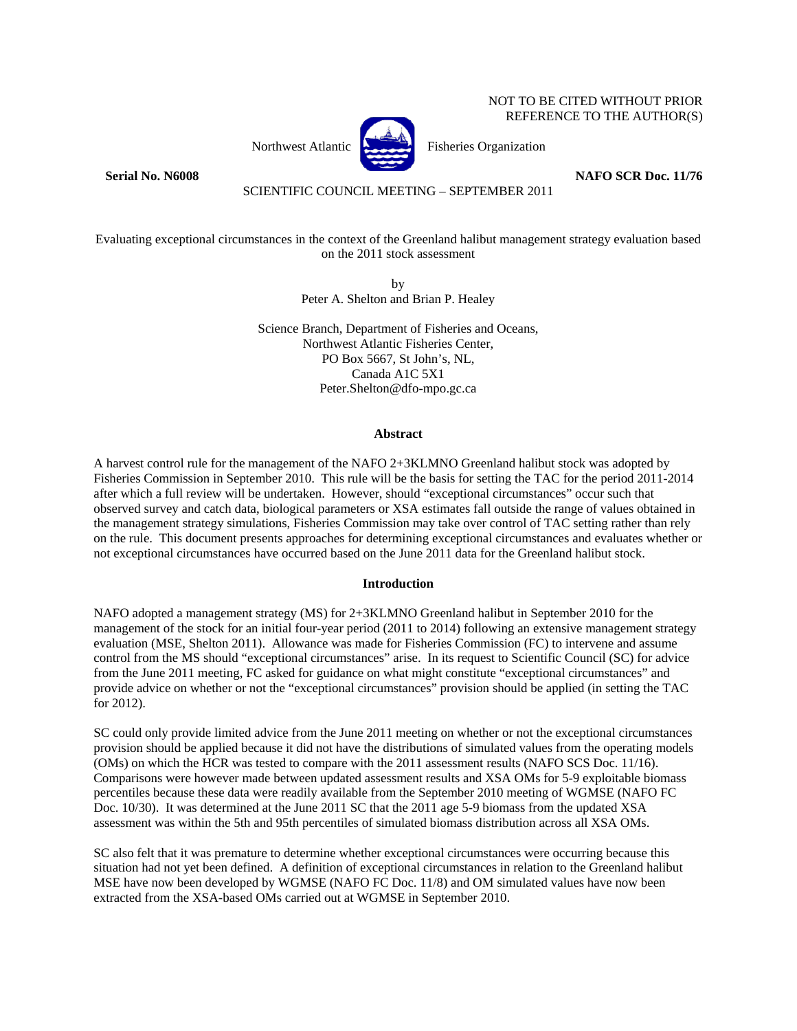# NOT TO BE CITED WITHOUT PRIOR REFERENCE TO THE AUTHOR(S)



Northwest Atlantic  $\begin{bmatrix} 1 & 1 \\ 1 & 1 \end{bmatrix}$  Fisheries Organization

**Serial No. N6008** NAFO SCR Doc. 11/76

# SCIENTIFIC COUNCIL MEETING – SEPTEMBER 2011

Evaluating exceptional circumstances in the context of the Greenland halibut management strategy evaluation based on the 2011 stock assessment

> by Peter A. Shelton and Brian P. Healey

Science Branch, Department of Fisheries and Oceans, Northwest Atlantic Fisheries Center, PO Box 5667, St John's, NL, Canada A1C 5X1 Peter.Shelton@dfo-mpo.gc.ca

# **Abstract**

A harvest control rule for the management of the NAFO 2+3KLMNO Greenland halibut stock was adopted by Fisheries Commission in September 2010. This rule will be the basis for setting the TAC for the period 2011-2014 after which a full review will be undertaken. However, should "exceptional circumstances" occur such that observed survey and catch data, biological parameters or XSA estimates fall outside the range of values obtained in the management strategy simulations, Fisheries Commission may take over control of TAC setting rather than rely on the rule. This document presents approaches for determining exceptional circumstances and evaluates whether or not exceptional circumstances have occurred based on the June 2011 data for the Greenland halibut stock.

### **Introduction**

NAFO adopted a management strategy (MS) for 2+3KLMNO Greenland halibut in September 2010 for the management of the stock for an initial four-year period (2011 to 2014) following an extensive management strategy evaluation (MSE, Shelton 2011). Allowance was made for Fisheries Commission (FC) to intervene and assume control from the MS should "exceptional circumstances" arise. In its request to Scientific Council (SC) for advice from the June 2011 meeting, FC asked for guidance on what might constitute "exceptional circumstances" and provide advice on whether or not the "exceptional circumstances" provision should be applied (in setting the TAC for 2012).

SC could only provide limited advice from the June 2011 meeting on whether or not the exceptional circumstances provision should be applied because it did not have the distributions of simulated values from the operating models (OMs) on which the HCR was tested to compare with the 2011 assessment results (NAFO SCS Doc. 11/16). Comparisons were however made between updated assessment results and XSA OMs for 5-9 exploitable biomass percentiles because these data were readily available from the September 2010 meeting of WGMSE (NAFO FC Doc. 10/30). It was determined at the June 2011 SC that the 2011 age 5-9 biomass from the updated XSA assessment was within the 5th and 95th percentiles of simulated biomass distribution across all XSA OMs.

SC also felt that it was premature to determine whether exceptional circumstances were occurring because this situation had not yet been defined. A definition of exceptional circumstances in relation to the Greenland halibut MSE have now been developed by WGMSE (NAFO FC Doc. 11/8) and OM simulated values have now been extracted from the XSA-based OMs carried out at WGMSE in September 2010.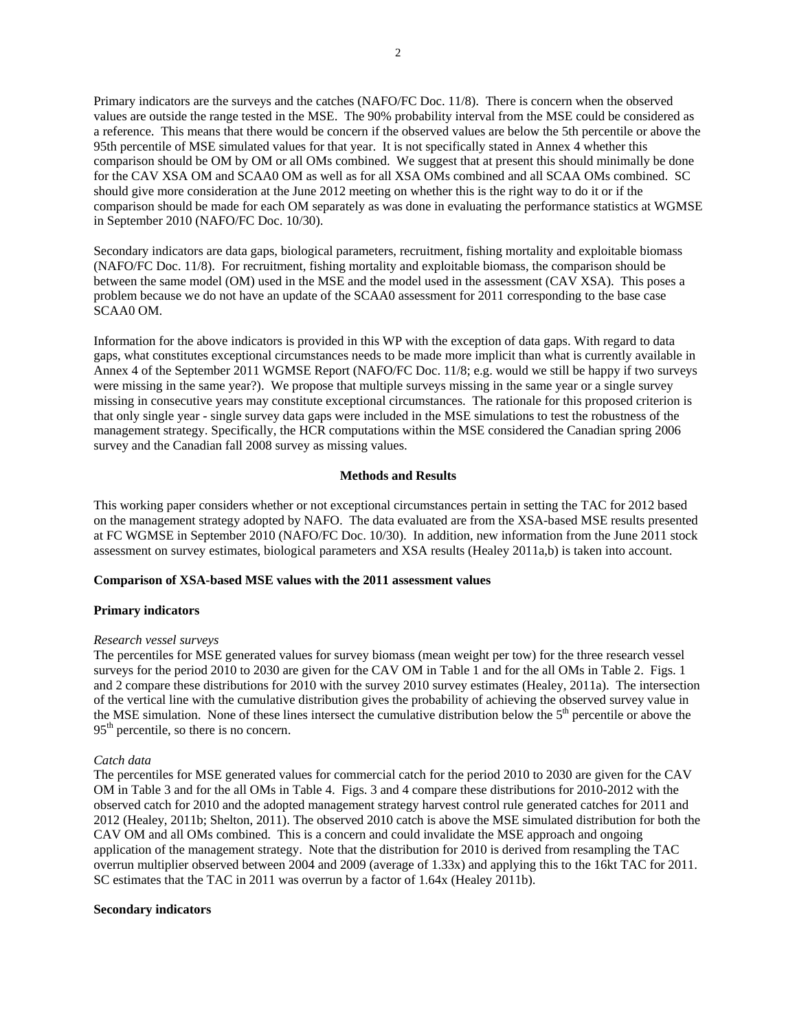Primary indicators are the surveys and the catches (NAFO/FC Doc. 11/8). There is concern when the observed values are outside the range tested in the MSE. The 90% probability interval from the MSE could be considered as a reference. This means that there would be concern if the observed values are below the 5th percentile or above the 95th percentile of MSE simulated values for that year. It is not specifically stated in Annex 4 whether this comparison should be OM by OM or all OMs combined. We suggest that at present this should minimally be done for the CAV XSA OM and SCAA0 OM as well as for all XSA OMs combined and all SCAA OMs combined. SC should give more consideration at the June 2012 meeting on whether this is the right way to do it or if the comparison should be made for each OM separately as was done in evaluating the performance statistics at WGMSE in September 2010 (NAFO/FC Doc. 10/30).

Secondary indicators are data gaps, biological parameters, recruitment, fishing mortality and exploitable biomass (NAFO/FC Doc. 11/8). For recruitment, fishing mortality and exploitable biomass, the comparison should be between the same model (OM) used in the MSE and the model used in the assessment (CAV XSA). This poses a problem because we do not have an update of the SCAA0 assessment for 2011 corresponding to the base case SCAA0 OM.

Information for the above indicators is provided in this WP with the exception of data gaps. With regard to data gaps, what constitutes exceptional circumstances needs to be made more implicit than what is currently available in Annex 4 of the September 2011 WGMSE Report (NAFO/FC Doc. 11/8; e.g. would we still be happy if two surveys were missing in the same year?). We propose that multiple surveys missing in the same year or a single survey missing in consecutive years may constitute exceptional circumstances. The rationale for this proposed criterion is that only single year - single survey data gaps were included in the MSE simulations to test the robustness of the management strategy. Specifically, the HCR computations within the MSE considered the Canadian spring 2006 survey and the Canadian fall 2008 survey as missing values.

# **Methods and Results**

This working paper considers whether or not exceptional circumstances pertain in setting the TAC for 2012 based on the management strategy adopted by NAFO. The data evaluated are from the XSA-based MSE results presented at FC WGMSE in September 2010 (NAFO/FC Doc. 10/30). In addition, new information from the June 2011 stock assessment on survey estimates, biological parameters and XSA results (Healey 2011a,b) is taken into account.

# **Comparison of XSA-based MSE values with the 2011 assessment values**

### **Primary indicators**

### *Research vessel surveys*

The percentiles for MSE generated values for survey biomass (mean weight per tow) for the three research vessel surveys for the period 2010 to 2030 are given for the CAV OM in Table 1 and for the all OMs in Table 2. Figs. 1 and 2 compare these distributions for 2010 with the survey 2010 survey estimates (Healey, 2011a). The intersection of the vertical line with the cumulative distribution gives the probability of achieving the observed survey value in the MSE simulation. None of these lines intersect the cumulative distribution below the  $5<sup>th</sup>$  percentile or above the 95<sup>th</sup> percentile, so there is no concern.

### *Catch data*

The percentiles for MSE generated values for commercial catch for the period 2010 to 2030 are given for the CAV OM in Table 3 and for the all OMs in Table 4. Figs. 3 and 4 compare these distributions for 2010-2012 with the observed catch for 2010 and the adopted management strategy harvest control rule generated catches for 2011 and 2012 (Healey, 2011b; Shelton, 2011). The observed 2010 catch is above the MSE simulated distribution for both the CAV OM and all OMs combined. This is a concern and could invalidate the MSE approach and ongoing application of the management strategy. Note that the distribution for 2010 is derived from resampling the TAC overrun multiplier observed between 2004 and 2009 (average of 1.33x) and applying this to the 16kt TAC for 2011. SC estimates that the TAC in 2011 was overrun by a factor of 1.64x (Healey 2011b).

### **Secondary indicators**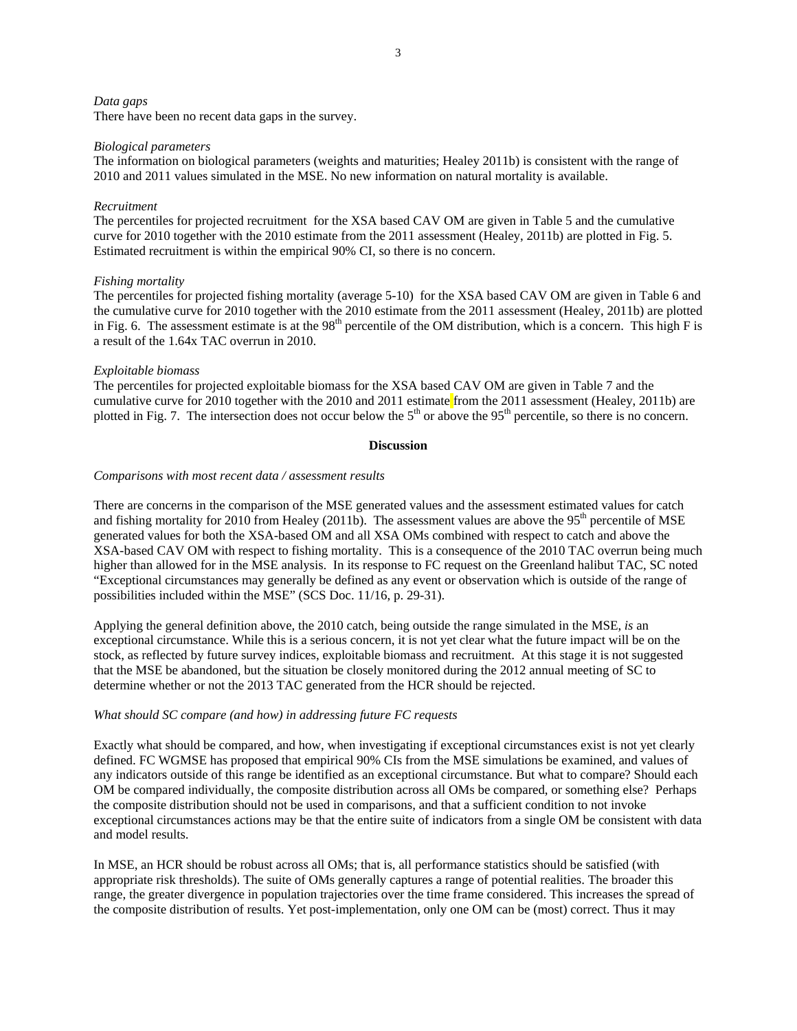#### *Data gaps*

There have been no recent data gaps in the survey.

#### *Biological parameters*

The information on biological parameters (weights and maturities; Healey 2011b) is consistent with the range of 2010 and 2011 values simulated in the MSE. No new information on natural mortality is available.

# *Recruitment*

The percentiles for projected recruitment for the XSA based CAV OM are given in Table 5 and the cumulative curve for 2010 together with the 2010 estimate from the 2011 assessment (Healey, 2011b) are plotted in Fig. 5. Estimated recruitment is within the empirical 90% CI, so there is no concern.

### *Fishing mortality*

The percentiles for projected fishing mortality (average 5-10) for the XSA based CAV OM are given in Table 6 and the cumulative curve for 2010 together with the 2010 estimate from the 2011 assessment (Healey, 2011b) are plotted in Fig. 6. The assessment estimate is at the  $98<sup>th</sup>$  percentile of the OM distribution, which is a concern. This high F is a result of the 1.64x TAC overrun in 2010.

#### *Exploitable biomass*

The percentiles for projected exploitable biomass for the XSA based CAV OM are given in Table 7 and the cumulative curve for 2010 together with the 2010 and 2011 estimate from the 2011 assessment (Healey, 2011b) are plotted in Fig. 7. The intersection does not occur below the  $5<sup>th</sup>$  or above the  $95<sup>th</sup>$  percentile, so there is no concern.

### **Discussion**

# *Comparisons with most recent data / assessment results*

There are concerns in the comparison of the MSE generated values and the assessment estimated values for catch and fishing mortality for 2010 from Healey (2011b). The assessment values are above the  $95<sup>th</sup>$  percentile of MSE generated values for both the XSA-based OM and all XSA OMs combined with respect to catch and above the XSA-based CAV OM with respect to fishing mortality. This is a consequence of the 2010 TAC overrun being much higher than allowed for in the MSE analysis. In its response to FC request on the Greenland halibut TAC, SC noted "Exceptional circumstances may generally be defined as any event or observation which is outside of the range of possibilities included within the MSE" (SCS Doc. 11/16, p. 29-31).

Applying the general definition above, the 2010 catch, being outside the range simulated in the MSE, *is* an exceptional circumstance. While this is a serious concern, it is not yet clear what the future impact will be on the stock, as reflected by future survey indices, exploitable biomass and recruitment. At this stage it is not suggested that the MSE be abandoned, but the situation be closely monitored during the 2012 annual meeting of SC to determine whether or not the 2013 TAC generated from the HCR should be rejected.

# *What should SC compare (and how) in addressing future FC requests*

Exactly what should be compared, and how, when investigating if exceptional circumstances exist is not yet clearly defined. FC WGMSE has proposed that empirical 90% CIs from the MSE simulations be examined, and values of any indicators outside of this range be identified as an exceptional circumstance. But what to compare? Should each OM be compared individually, the composite distribution across all OMs be compared, or something else? Perhaps the composite distribution should not be used in comparisons, and that a sufficient condition to not invoke exceptional circumstances actions may be that the entire suite of indicators from a single OM be consistent with data and model results.

In MSE, an HCR should be robust across all OMs; that is, all performance statistics should be satisfied (with appropriate risk thresholds). The suite of OMs generally captures a range of potential realities. The broader this range, the greater divergence in population trajectories over the time frame considered. This increases the spread of the composite distribution of results. Yet post-implementation, only one OM can be (most) correct. Thus it may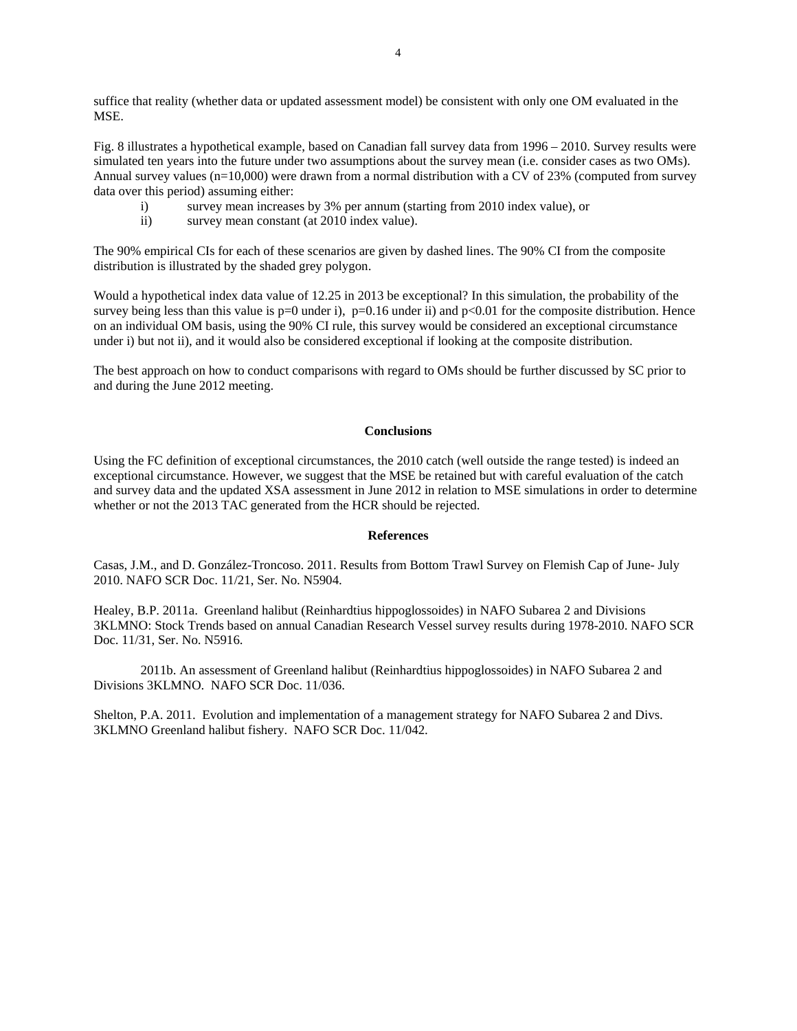suffice that reality (whether data or updated assessment model) be consistent with only one OM evaluated in the MSE.

Fig. 8 illustrates a hypothetical example, based on Canadian fall survey data from 1996 – 2010. Survey results were simulated ten years into the future under two assumptions about the survey mean (i.e. consider cases as two OMs). Annual survey values (n=10,000) were drawn from a normal distribution with a CV of 23% (computed from survey data over this period) assuming either:

- i) survey mean increases by 3% per annum (starting from 2010 index value), or
- ii) survey mean constant (at 2010 index value).

The 90% empirical CIs for each of these scenarios are given by dashed lines. The 90% CI from the composite distribution is illustrated by the shaded grey polygon.

Would a hypothetical index data value of 12.25 in 2013 be exceptional? In this simulation, the probability of the survey being less than this value is  $p=0$  under i),  $p=0.16$  under ii) and  $p<0.01$  for the composite distribution. Hence on an individual OM basis, using the 90% CI rule, this survey would be considered an exceptional circumstance under i) but not ii), and it would also be considered exceptional if looking at the composite distribution.

The best approach on how to conduct comparisons with regard to OMs should be further discussed by SC prior to and during the June 2012 meeting.

# **Conclusions**

Using the FC definition of exceptional circumstances, the 2010 catch (well outside the range tested) is indeed an exceptional circumstance. However, we suggest that the MSE be retained but with careful evaluation of the catch and survey data and the updated XSA assessment in June 2012 in relation to MSE simulations in order to determine whether or not the 2013 TAC generated from the HCR should be rejected.

#### **References**

Casas, J.M., and D. González-Troncoso. 2011. Results from Bottom Trawl Survey on Flemish Cap of June- July 2010. NAFO SCR Doc. 11/21, Ser. No. N5904.

Healey, B.P. 2011a. Greenland halibut (Reinhardtius hippoglossoides) in NAFO Subarea 2 and Divisions 3KLMNO: Stock Trends based on annual Canadian Research Vessel survey results during 1978-2010. NAFO SCR Doc. 11/31, Ser. No. N5916.

 2011b. An assessment of Greenland halibut (Reinhardtius hippoglossoides) in NAFO Subarea 2 and Divisions 3KLMNO. NAFO SCR Doc. 11/036.

Shelton, P.A. 2011. Evolution and implementation of a management strategy for NAFO Subarea 2 and Divs. 3KLMNO Greenland halibut fishery. NAFO SCR Doc. 11/042.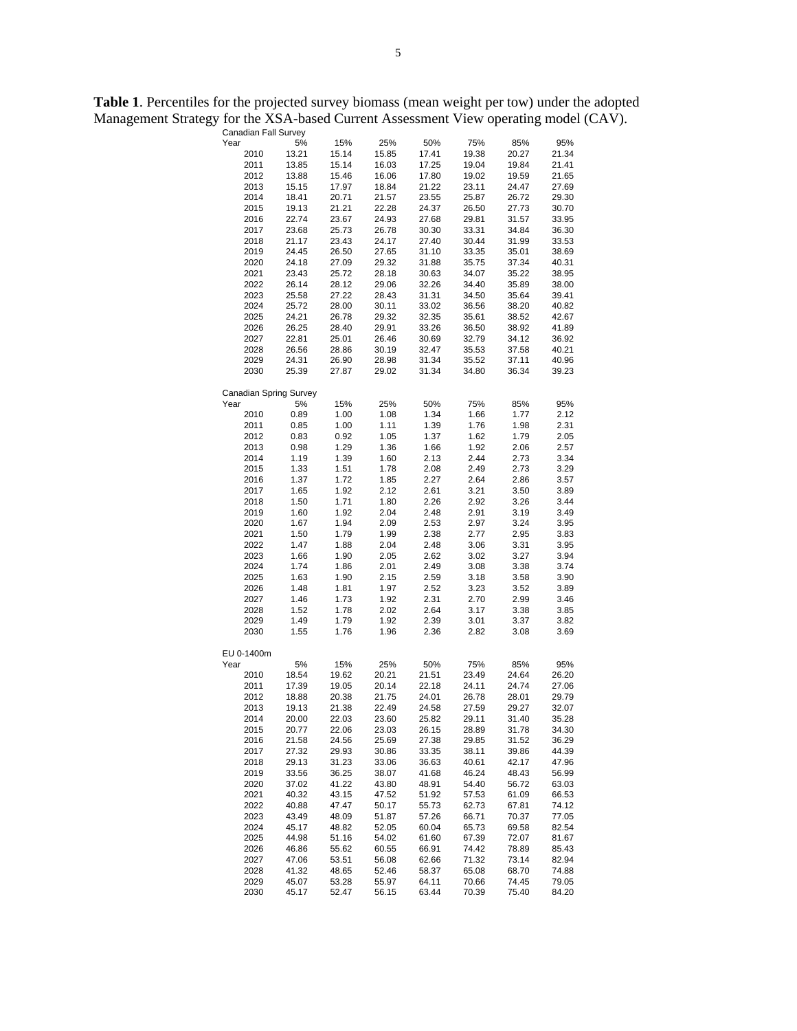**Table 1**. Percentiles for the projected survey biomass (mean weight per tow) under the adopted Management Strategy for the XSA-based Current Assessment View operating model (CAV).

| Canadian Fall Survey   |             |       |       |       |       |       |       |
|------------------------|-------------|-------|-------|-------|-------|-------|-------|
| Year                   | 5%          | 15%   | 25%   | 50%   | 75%   | 85%   | 95%   |
| 2010                   | 13.21       | 15.14 | 15.85 | 17.41 | 19.38 | 20.27 | 21.34 |
| 2011                   | 13.85       | 15.14 | 16.03 | 17.25 | 19.04 | 19.84 | 21.41 |
| 2012                   | 13.88       | 15.46 | 16.06 | 17.80 | 19.02 | 19.59 | 21.65 |
| 2013                   | 15.15       | 17.97 | 18.84 | 21.22 | 23.11 | 24.47 | 27.69 |
| 2014                   | 18.41       | 20.71 | 21.57 | 23.55 | 25.87 | 26.72 | 29.30 |
| 2015                   | 19.13       | 21.21 | 22.28 | 24.37 | 26.50 | 27.73 | 30.70 |
| 2016                   | 22.74       | 23.67 | 24.93 | 27.68 | 29.81 | 31.57 | 33.95 |
| 2017                   | 23.68       | 25.73 | 26.78 | 30.30 | 33.31 | 34.84 | 36.30 |
| 2018                   | 21.17       | 23.43 | 24.17 | 27.40 | 30.44 | 31.99 | 33.53 |
| 2019                   | 24.45       | 26.50 | 27.65 | 31.10 | 33.35 | 35.01 | 38.69 |
| 2020                   | 24.18       | 27.09 | 29.32 | 31.88 | 35.75 | 37.34 | 40.31 |
| 2021                   | 23.43       | 25.72 | 28.18 | 30.63 | 34.07 | 35.22 | 38.95 |
| 2022                   | 26.14       | 28.12 | 29.06 | 32.26 | 34.40 | 35.89 | 38.00 |
| 2023                   | 25.58       | 27.22 | 28.43 | 31.31 | 34.50 | 35.64 | 39.41 |
| 2024                   | 25.72       | 28.00 | 30.11 | 33.02 | 36.56 | 38.20 | 40.82 |
| 2025                   | 24.21       | 26.78 | 29.32 | 32.35 | 35.61 | 38.52 | 42.67 |
| 2026                   | 26.25       | 28.40 | 29.91 | 33.26 | 36.50 | 38.92 | 41.89 |
| 2027                   | 22.81       | 25.01 | 26.46 | 30.69 | 32.79 | 34.12 | 36.92 |
| 2028                   | 26.56       | 28.86 | 30.19 | 32.47 | 35.53 | 37.58 | 40.21 |
| 2029                   | 24.31       | 26.90 | 28.98 | 31.34 | 35.52 | 37.11 | 40.96 |
| 2030                   | 25.39       | 27.87 | 29.02 | 31.34 | 34.80 | 36.34 | 39.23 |
|                        |             |       |       |       |       |       |       |
| Canadian Spring Survey |             |       |       |       |       |       |       |
| Year                   | 5%          | 15%   | 25%   | 50%   | 75%   | 85%   | 95%   |
| 2010                   | 0.89        | 1.00  | 1.08  | 1.34  | 1.66  | 1.77  | 2.12  |
| 2011                   | 0.85        | 1.00  | 1.11  | 1.39  | 1.76  | 1.98  | 2.31  |
| 2012                   | 0.83        | 0.92  | 1.05  | 1.37  | 1.62  | 1.79  | 2.05  |
| 2013                   | 0.98        | 1.29  | 1.36  | 1.66  | 1.92  | 2.06  | 2.57  |
| 2014                   | 1.19        | 1.39  | 1.60  | 2.13  | 2.44  | 2.73  | 3.34  |
| 2015                   | 1.33        | 1.51  | 1.78  | 2.08  | 2.49  | 2.73  | 3.29  |
| 2016                   | 1.37        | 1.72  | 1.85  | 2.27  | 2.64  | 2.86  | 3.57  |
| 2017                   | 1.65        | 1.92  | 2.12  | 2.61  | 3.21  | 3.50  | 3.89  |
| 2018                   | 1.50        | 1.71  | 1.80  | 2.26  | 2.92  | 3.26  | 3.44  |
| 2019                   | 1.60        | 1.92  | 2.04  | 2.48  | 2.91  | 3.19  | 3.49  |
| 2020                   | 1.67        | 1.94  | 2.09  | 2.53  | 2.97  | 3.24  | 3.95  |
| 2021                   | 1.50        | 1.79  | 1.99  | 2.38  | 2.77  | 2.95  | 3.83  |
| 2022                   | 1.47        | 1.88  | 2.04  | 2.48  | 3.06  | 3.31  | 3.95  |
| 2023                   | 1.66        | 1.90  | 2.05  | 2.62  | 3.02  | 3.27  | 3.94  |
| 2024                   | 1.74        | 1.86  | 2.01  | 2.49  | 3.08  | 3.38  | 3.74  |
| 2025                   | 1.63        | 1.90  | 2.15  | 2.59  | 3.18  | 3.58  | 3.90  |
| 2026                   | 1.48        | 1.81  | 1.97  | 2.52  | 3.23  | 3.52  | 3.89  |
| 2027                   | 1.46        | 1.73  | 1.92  | 2.31  | 2.70  | 2.99  | 3.46  |
| 2028                   | 1.52        | 1.78  | 2.02  | 2.64  | 3.17  | 3.38  | 3.85  |
| 2029                   | 1.49        | 1.79  | 1.92  | 2.39  | 3.01  | 3.37  | 3.82  |
| 2030                   | 1.55        | 1.76  | 1.96  | 2.36  | 2.82  | 3.08  | 3.69  |
|                        |             |       |       |       |       |       |       |
| EU 0-1400m<br>Year     |             |       |       |       | 75%   |       |       |
|                        | 5%<br>18.54 | 15%   | 25%   | 50%   |       | 85%   | 95%   |
| 2010                   |             | 19.62 | 20.21 | 21.51 | 23.49 | 24.64 | 26.20 |
| 2011                   | 17.39       | 19.05 | 20.14 | 22.18 | 24.11 | 24.74 | 27.06 |
| 2012                   | 18.88       | 20.38 | 21.75 | 24.01 | 26.78 | 28.01 | 29.79 |
| 2013                   | 19.13       | 21.38 | 22.49 | 24.58 | 27.59 | 29.27 | 32.07 |
| 2014                   | 20.00       | 22.03 | 23.60 | 25.82 | 29.11 | 31.40 | 35.28 |
| 2015                   | 20.77       | 22.06 | 23.03 | 26.15 | 28.89 | 31.78 | 34.30 |
| 2016                   | 21.58       | 24.56 | 25.69 | 27.38 | 29.85 | 31.52 | 36.29 |
| 2017                   | 27.32       | 29.93 | 30.86 | 33.35 | 38.11 | 39.86 | 44.39 |
| 2018                   | 29.13       | 31.23 | 33.06 | 36.63 | 40.61 | 42.17 | 47.96 |
| 2019                   | 33.56       | 36.25 | 38.07 | 41.68 | 46.24 | 48.43 | 56.99 |
| 2020                   | 37.02       | 41.22 | 43.80 | 48.91 | 54.40 | 56.72 | 63.03 |
| 2021                   | 40.32       | 43.15 | 47.52 | 51.92 | 57.53 | 61.09 | 66.53 |
| 2022                   | 40.88       | 47.47 | 50.17 | 55.73 | 62.73 | 67.81 | 74.12 |
| 2023                   | 43.49       | 48.09 | 51.87 | 57.26 | 66.71 | 70.37 | 77.05 |
| 2024                   | 45.17       | 48.82 | 52.05 | 60.04 | 65.73 | 69.58 | 82.54 |
| 2025                   | 44.98       | 51.16 | 54.02 | 61.60 | 67.39 | 72.07 | 81.67 |
| 2026                   | 46.86       | 55.62 | 60.55 | 66.91 | 74.42 | 78.89 | 85.43 |
| 2027                   | 47.06       | 53.51 | 56.08 | 62.66 | 71.32 | 73.14 | 82.94 |
| 2028                   | 41.32       | 48.65 | 52.46 | 58.37 | 65.08 | 68.70 | 74.88 |
| 2029                   | 45.07       | 53.28 | 55.97 | 64.11 | 70.66 | 74.45 | 79.05 |
| 2030                   | 45.17       | 52.47 | 56.15 | 63.44 | 70.39 | 75.40 | 84.20 |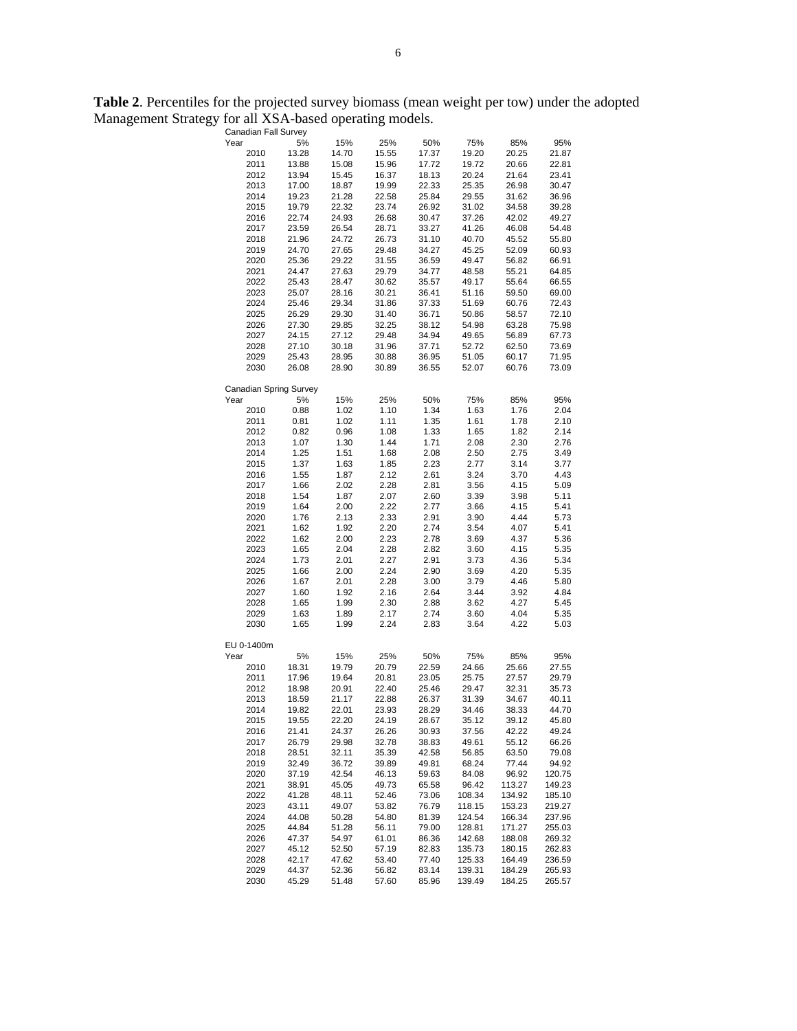**Table 2**. Percentiles for the projected survey biomass (mean weight per tow) under the adopted Management Strategy for all XSA-based operating models.

|              | Canadian Fall Survey         | х            | O            |              |              |              |              |
|--------------|------------------------------|--------------|--------------|--------------|--------------|--------------|--------------|
| Year         | 5%                           | 15%          | 25%          | 50%          | 75%          | 85%          | 95%          |
| 2010         | 13.28                        | 14.70        | 15.55        | 17.37        | 19.20        | 20.25        | 21.87        |
| 2011         | 13.88                        | 15.08        | 15.96        | 17.72        | 19.72        | 20.66        | 22.81        |
| 2012         | 13.94                        | 15.45        | 16.37        | 18.13        | 20.24        | 21.64        | 23.41        |
| 2013         | 17.00                        | 18.87        | 19.99        | 22.33        | 25.35        | 26.98        | 30.47        |
| 2014         | 19.23                        | 21.28        | 22.58        | 25.84        | 29.55        | 31.62        | 36.96        |
| 2015         | 19.79                        | 22.32        | 23.74        | 26.92        | 31.02        | 34.58        | 39.28        |
| 2016         | 22.74                        | 24.93        | 26.68        | 30.47        | 37.26        | 42.02        | 49.27        |
| 2017         | 23.59                        | 26.54        | 28.71        | 33.27        | 41.26        | 46.08        | 54.48        |
| 2018         | 21.96                        | 24.72        | 26.73        | 31.10        | 40.70        | 45.52        | 55.80        |
| 2019         | 24.70                        | 27.65        | 29.48        | 34.27        | 45.25        | 52.09        | 60.93        |
| 2020         | 25.36                        | 29.22        | 31.55        | 36.59        | 49.47        | 56.82        | 66.91        |
| 2021         | 24.47                        | 27.63        | 29.79        | 34.77        | 48.58        | 55.21        | 64.85        |
| 2022         | 25.43                        | 28.47        | 30.62        | 35.57        | 49.17        | 55.64        | 66.55        |
| 2023         | 25.07                        | 28.16        | 30.21        | 36.41        | 51.16        | 59.50        | 69.00        |
| 2024         | 25.46                        | 29.34        | 31.86        | 37.33        | 51.69        | 60.76        | 72.43        |
| 2025         | 26.29                        | 29.30        | 31.40        | 36.71        | 50.86        | 58.57        | 72.10        |
| 2026         | 27.30                        | 29.85        | 32.25        | 38.12        | 54.98        | 63.28        | 75.98        |
| 2027         | 24.15                        | 27.12        | 29.48        | 34.94        | 49.65        | 56.89        | 67.73        |
| 2028         | 27.10                        | 30.18        | 31.96        | 37.71        | 52.72        | 62.50        | 73.69        |
| 2029         | 25.43                        | 28.95        | 30.88        | 36.95        | 51.05        | 60.17        | 71.95        |
| 2030         | 26.08                        | 28.90        | 30.89        | 36.55        | 52.07        | 60.76        | 73.09        |
|              |                              |              |              |              |              |              |              |
| Year         | Canadian Spring Survey<br>5% | 15%          | 25%          | 50%          | 75%          | 85%          | 95%          |
| 2010         | 0.88                         | 1.02         | 1.10         | 1.34         | 1.63         | 1.76         | 2.04         |
|              | 0.81                         |              | 1.11         | 1.35         | 1.61         | 1.78         | 2.10         |
| 2011         |                              | 1.02         |              | 1.33         | 1.65         |              | 2.14         |
| 2012         | 0.82                         | 0.96         | 1.08         |              |              | 1.82         |              |
| 2013<br>2014 | 1.07                         | 1.30         | 1.44         | 1.71         | 2.08         | 2.30         | 2.76         |
|              | 1.25                         | 1.51         | 1.68         | 2.08         | 2.50<br>2.77 | 2.75         | 3.49         |
| 2015         | 1.37                         | 1.63<br>1.87 | 1.85<br>2.12 | 2.23         |              | 3.14         | 3.77         |
| 2016<br>2017 | 1.55<br>1.66                 | 2.02         | 2.28         | 2.61<br>2.81 | 3.24         | 3.70<br>4.15 | 4.43         |
|              | 1.54                         | 1.87         | 2.07         |              | 3.56         | 3.98         | 5.09<br>5.11 |
| 2018         |                              |              | 2.22         | 2.60<br>2.77 | 3.39<br>3.66 | 4.15         | 5.41         |
| 2019         | 1.64                         | 2.00<br>2.13 | 2.33         | 2.91         |              | 4.44         | 5.73         |
| 2020         | 1.76                         |              |              |              | 3.90         |              | 5.41         |
| 2021         | 1.62<br>1.62                 | 1.92         | 2.20<br>2.23 | 2.74         | 3.54         | 4.07<br>4.37 | 5.36         |
| 2022<br>2023 | 1.65                         | 2.00<br>2.04 | 2.28         | 2.78<br>2.82 | 3.69<br>3.60 | 4.15         | 5.35         |
| 2024         | 1.73                         | 2.01         | 2.27         | 2.91         | 3.73         | 4.36         | 5.34         |
| 2025         | 1.66                         | 2.00         | 2.24         | 2.90         | 3.69         | 4.20         | 5.35         |
| 2026         | 1.67                         | 2.01         | 2.28         | 3.00         | 3.79         | 4.46         | 5.80         |
|              |                              | 1.92         | 2.16         | 2.64         | 3.44         | 3.92         | 4.84         |
| 2027<br>2028 | 1.60<br>1.65                 | 1.99         | 2.30         | 2.88         | 3.62         | 4.27         | 5.45         |
| 2029         | 1.63                         | 1.89         | 2.17         | 2.74         | 3.60         | 4.04         | 5.35         |
| 2030         | 1.65                         | 1.99         | 2.24         | 2.83         | 3.64         | 4.22         | 5.03         |
|              |                              |              |              |              |              |              |              |
| EU 0-1400m   |                              |              |              |              |              |              |              |
| Year         | 5%                           | 15%          | 25%          | 50%          | 75%          | 85%          | 95%          |
| 2010         | 18.31                        | 19.79        | 20.79        | 22.59        | 24.66        | 25.66        | 27.55        |
| 2011         | 17.96                        | 19.64        | 20.81        | 23.05        | 25.75        | 27.57        | 29.79        |
| 2012         | 18.98                        | 20.91        | 22.40        | 25.46        | 29.47        | 32.31        | 35.73        |
| 2013         | 18.59                        | 21.17        | 22.88        | 26.37        | 31.39        | 34.67        | 40.11        |
| 2014         | 19.82                        | 22.01        | 23.93        | 28.29        | 34.46        | 38.33        | 44.70        |
| 2015         | 19.55                        | 22.20        | 24.19        | 28.67        | 35.12        | 39.12        | 45.80        |
| 2016         | 21.41                        | 24.37        | 26.26        | 30.93        | 37.56        | 42.22        | 49.24        |
| 2017         | 26.79                        | 29.98        | 32.78        | 38.83        | 49.61        | 55.12        | 66.26        |
| 2018         | 28.51                        | 32.11        | 35.39        | 42.58        | 56.85        | 63.50        | 79.08        |
| 2019         | 32.49                        | 36.72        | 39.89        | 49.81        | 68.24        | 77.44        | 94.92        |
| 2020         | 37.19                        | 42.54        | 46.13        | 59.63        | 84.08        | 96.92        | 120.75       |
| 2021         | 38.91                        | 45.05        | 49.73        | 65.58        | 96.42        | 113.27       | 149.23       |
| 2022         | 41.28                        | 48.11        | 52.46        | 73.06        | 108.34       | 134.92       | 185.10       |
| 2023         | 43.11                        | 49.07        | 53.82        | 76.79        | 118.15       | 153.23       | 219.27       |
| 2024         | 44.08                        | 50.28        | 54.80        | 81.39        | 124.54       | 166.34       | 237.96       |
| 2025         | 44.84                        | 51.28        | 56.11        | 79.00        | 128.81       | 171.27       | 255.03       |
| 2026         | 47.37                        | 54.97        | 61.01        | 86.36        | 142.68       | 188.08       | 269.32       |
| 2027         | 45.12                        | 52.50        | 57.19        | 82.83        | 135.73       | 180.15       | 262.83       |
| 2028         | 42.17                        | 47.62        | 53.40        | 77.40        | 125.33       | 164.49       | 236.59       |
| 2029         | 44.37                        | 52.36        | 56.82        | 83.14        | 139.31       | 184.29       | 265.93       |
| 2030         | 45.29                        | 51.48        | 57.60        | 85.96        | 139.49       | 184.25       | 265.57       |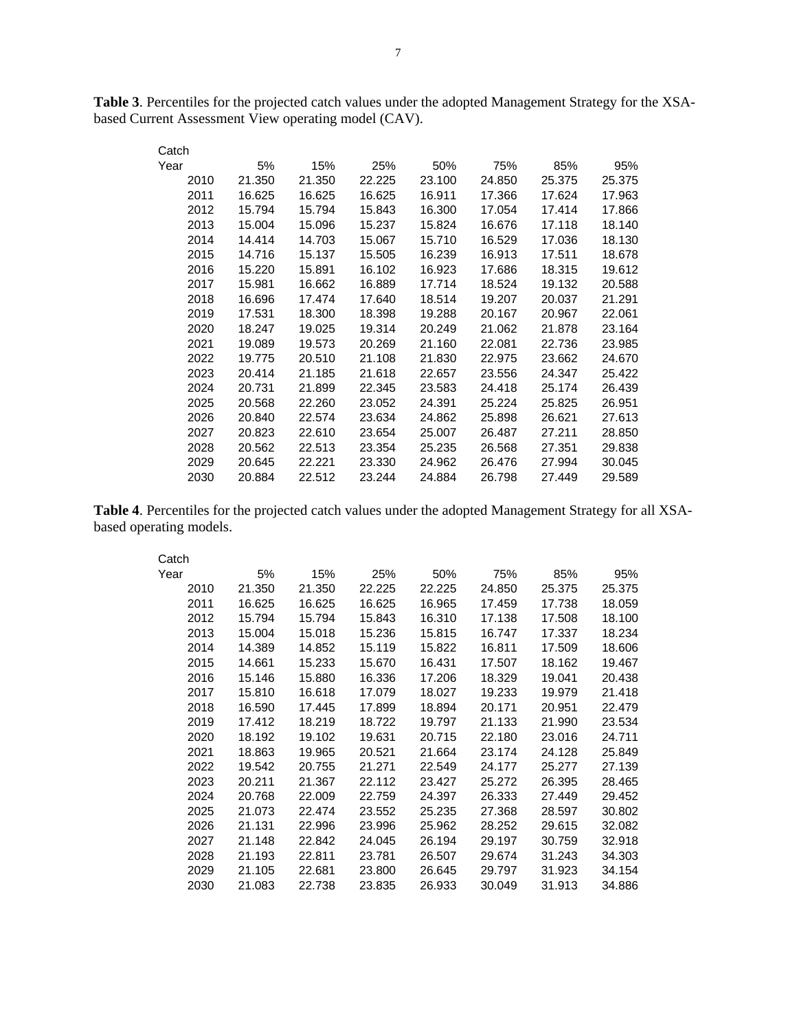**Table 3**. Percentiles for the projected catch values under the adopted Management Strategy for the XSAbased Current Assessment View operating model (CAV).

| Catch |        |        |        |        |        |        |        |
|-------|--------|--------|--------|--------|--------|--------|--------|
| Year  | 5%     | 15%    | 25%    | 50%    | 75%    | 85%    | 95%    |
| 2010  | 21.350 | 21.350 | 22.225 | 23.100 | 24.850 | 25,375 | 25.375 |
| 2011  | 16.625 | 16.625 | 16.625 | 16.911 | 17.366 | 17.624 | 17.963 |
| 2012  | 15.794 | 15.794 | 15.843 | 16.300 | 17.054 | 17.414 | 17.866 |
| 2013  | 15.004 | 15.096 | 15.237 | 15.824 | 16.676 | 17.118 | 18.140 |
| 2014  | 14.414 | 14.703 | 15.067 | 15.710 | 16.529 | 17.036 | 18.130 |
| 2015  | 14.716 | 15.137 | 15.505 | 16.239 | 16.913 | 17.511 | 18.678 |
| 2016  | 15.220 | 15.891 | 16.102 | 16.923 | 17.686 | 18.315 | 19.612 |
| 2017  | 15.981 | 16.662 | 16.889 | 17.714 | 18.524 | 19.132 | 20.588 |
| 2018  | 16.696 | 17.474 | 17.640 | 18.514 | 19.207 | 20.037 | 21.291 |
| 2019  | 17.531 | 18.300 | 18.398 | 19.288 | 20.167 | 20.967 | 22.061 |
| 2020  | 18.247 | 19.025 | 19.314 | 20.249 | 21.062 | 21.878 | 23.164 |
| 2021  | 19.089 | 19.573 | 20.269 | 21.160 | 22.081 | 22.736 | 23.985 |
| 2022  | 19.775 | 20.510 | 21.108 | 21.830 | 22,975 | 23.662 | 24.670 |
| 2023  | 20.414 | 21.185 | 21.618 | 22.657 | 23.556 | 24.347 | 25.422 |
| 2024  | 20.731 | 21.899 | 22.345 | 23.583 | 24.418 | 25.174 | 26.439 |
| 2025  | 20.568 | 22.260 | 23.052 | 24.391 | 25.224 | 25.825 | 26.951 |
| 2026  | 20.840 | 22.574 | 23.634 | 24.862 | 25,898 | 26.621 | 27.613 |
| 2027  | 20.823 | 22.610 | 23.654 | 25.007 | 26.487 | 27.211 | 28.850 |
| 2028  | 20.562 | 22.513 | 23.354 | 25.235 | 26.568 | 27.351 | 29.838 |
| 2029  | 20.645 | 22.221 | 23.330 | 24.962 | 26.476 | 27.994 | 30.045 |
| 2030  | 20.884 | 22.512 | 23.244 | 24.884 | 26.798 | 27.449 | 29.589 |

**Table 4**. Percentiles for the projected catch values under the adopted Management Strategy for all XSAbased operating models.

| Catch |        |        |        |        |        |        |        |
|-------|--------|--------|--------|--------|--------|--------|--------|
| Year  | 5%     | 15%    | 25%    | 50%    | 75%    | 85%    | 95%    |
| 2010  | 21.350 | 21.350 | 22.225 | 22.225 | 24.850 | 25.375 | 25.375 |
| 2011  | 16.625 | 16.625 | 16.625 | 16.965 | 17.459 | 17.738 | 18.059 |
| 2012  | 15.794 | 15.794 | 15.843 | 16.310 | 17.138 | 17.508 | 18.100 |
| 2013  | 15.004 | 15.018 | 15.236 | 15.815 | 16.747 | 17.337 | 18.234 |
| 2014  | 14.389 | 14.852 | 15.119 | 15.822 | 16.811 | 17.509 | 18.606 |
| 2015  | 14.661 | 15.233 | 15.670 | 16.431 | 17.507 | 18.162 | 19.467 |
| 2016  | 15.146 | 15.880 | 16.336 | 17.206 | 18.329 | 19.041 | 20.438 |
| 2017  | 15.810 | 16.618 | 17.079 | 18.027 | 19.233 | 19.979 | 21.418 |
| 2018  | 16.590 | 17.445 | 17.899 | 18.894 | 20.171 | 20.951 | 22.479 |
| 2019  | 17.412 | 18.219 | 18.722 | 19.797 | 21.133 | 21.990 | 23.534 |
| 2020  | 18.192 | 19.102 | 19.631 | 20.715 | 22.180 | 23.016 | 24.711 |
| 2021  | 18.863 | 19.965 | 20.521 | 21.664 | 23.174 | 24.128 | 25.849 |
| 2022  | 19.542 | 20.755 | 21.271 | 22.549 | 24.177 | 25.277 | 27.139 |
| 2023  | 20.211 | 21.367 | 22.112 | 23.427 | 25.272 | 26.395 | 28.465 |
| 2024  | 20.768 | 22,009 | 22.759 | 24.397 | 26.333 | 27.449 | 29.452 |
| 2025  | 21.073 | 22.474 | 23.552 | 25.235 | 27.368 | 28.597 | 30.802 |
| 2026  | 21.131 | 22.996 | 23.996 | 25.962 | 28.252 | 29.615 | 32.082 |
| 2027  | 21.148 | 22.842 | 24.045 | 26.194 | 29.197 | 30.759 | 32.918 |
| 2028  | 21.193 | 22.811 | 23.781 | 26.507 | 29.674 | 31.243 | 34.303 |
| 2029  | 21.105 | 22.681 | 23.800 | 26.645 | 29.797 | 31.923 | 34.154 |
| 2030  | 21.083 | 22.738 | 23.835 | 26.933 | 30.049 | 31.913 | 34.886 |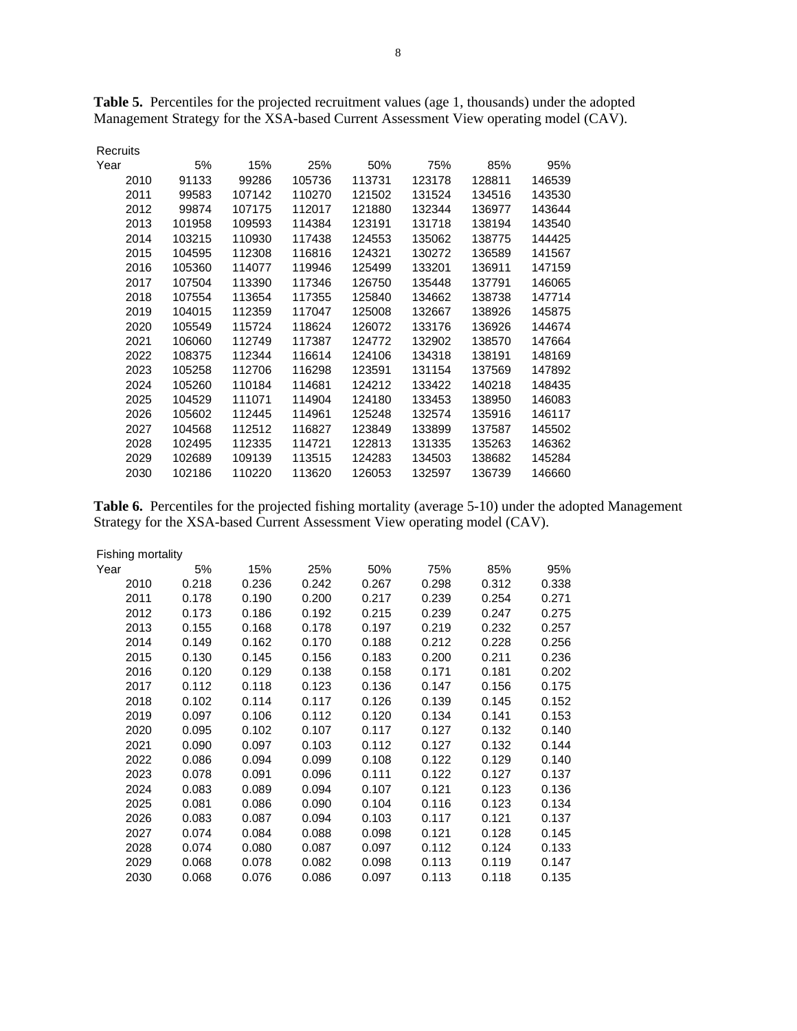| Recruits |        |        |        |        |        |        |        |
|----------|--------|--------|--------|--------|--------|--------|--------|
| Year     | 5%     | 15%    | 25%    | 50%    | 75%    | 85%    | 95%    |
| 2010     | 91133  | 99286  | 105736 | 113731 | 123178 | 128811 | 146539 |
| 2011     | 99583  | 107142 | 110270 | 121502 | 131524 | 134516 | 143530 |
| 2012     | 99874  | 107175 | 112017 | 121880 | 132344 | 136977 | 143644 |
| 2013     | 101958 | 109593 | 114384 | 123191 | 131718 | 138194 | 143540 |
| 2014     | 103215 | 110930 | 117438 | 124553 | 135062 | 138775 | 144425 |
| 2015     | 104595 | 112308 | 116816 | 124321 | 130272 | 136589 | 141567 |
| 2016     | 105360 | 114077 | 119946 | 125499 | 133201 | 136911 | 147159 |
| 2017     | 107504 | 113390 | 117346 | 126750 | 135448 | 137791 | 146065 |
| 2018     | 107554 | 113654 | 117355 | 125840 | 134662 | 138738 | 147714 |
| 2019     | 104015 | 112359 | 117047 | 125008 | 132667 | 138926 | 145875 |
| 2020     | 105549 | 115724 | 118624 | 126072 | 133176 | 136926 | 144674 |
| 2021     | 106060 | 112749 | 117387 | 124772 | 132902 | 138570 | 147664 |
| 2022     | 108375 | 112344 | 116614 | 124106 | 134318 | 138191 | 148169 |
| 2023     | 105258 | 112706 | 116298 | 123591 | 131154 | 137569 | 147892 |
| 2024     | 105260 | 110184 | 114681 | 124212 | 133422 | 140218 | 148435 |
| 2025     | 104529 | 111071 | 114904 | 124180 | 133453 | 138950 | 146083 |
| 2026     | 105602 | 112445 | 114961 | 125248 | 132574 | 135916 | 146117 |
| 2027     | 104568 | 112512 | 116827 | 123849 | 133899 | 137587 | 145502 |
| 2028     | 102495 | 112335 | 114721 | 122813 | 131335 | 135263 | 146362 |
| 2029     | 102689 | 109139 | 113515 | 124283 | 134503 | 138682 | 145284 |
| 2030     | 102186 | 110220 | 113620 | 126053 | 132597 | 136739 | 146660 |

**Table 5.** Percentiles for the projected recruitment values (age 1, thousands) under the adopted Management Strategy for the XSA-based Current Assessment View operating model (CAV).

**Table 6.** Percentiles for the projected fishing mortality (average 5-10) under the adopted Management Strategy for the XSA-based Current Assessment View operating model (CAV).

| Fishing mortality |       |       |       |       |       |       |       |
|-------------------|-------|-------|-------|-------|-------|-------|-------|
| Year              | 5%    | 15%   | 25%   | 50%   | 75%   | 85%   | 95%   |
| 2010              | 0.218 | 0.236 | 0.242 | 0.267 | 0.298 | 0.312 | 0.338 |
| 2011              | 0.178 | 0.190 | 0.200 | 0.217 | 0.239 | 0.254 | 0.271 |
| 2012              | 0.173 | 0.186 | 0.192 | 0.215 | 0.239 | 0.247 | 0.275 |
| 2013              | 0.155 | 0.168 | 0.178 | 0.197 | 0.219 | 0.232 | 0.257 |
| 2014              | 0.149 | 0.162 | 0.170 | 0.188 | 0.212 | 0.228 | 0.256 |
| 2015              | 0.130 | 0.145 | 0.156 | 0.183 | 0.200 | 0.211 | 0.236 |
| 2016              | 0.120 | 0.129 | 0.138 | 0.158 | 0.171 | 0.181 | 0.202 |
| 2017              | 0.112 | 0.118 | 0.123 | 0.136 | 0.147 | 0.156 | 0.175 |
| 2018              | 0.102 | 0.114 | 0.117 | 0.126 | 0.139 | 0.145 | 0.152 |
| 2019              | 0.097 | 0.106 | 0.112 | 0.120 | 0.134 | 0.141 | 0.153 |
| 2020              | 0.095 | 0.102 | 0.107 | 0.117 | 0.127 | 0.132 | 0.140 |
| 2021              | 0.090 | 0.097 | 0.103 | 0.112 | 0.127 | 0.132 | 0.144 |
| 2022              | 0.086 | 0.094 | 0.099 | 0.108 | 0.122 | 0.129 | 0.140 |
| 2023              | 0.078 | 0.091 | 0.096 | 0.111 | 0.122 | 0.127 | 0.137 |
| 2024              | 0.083 | 0.089 | 0.094 | 0.107 | 0.121 | 0.123 | 0.136 |
| 2025              | 0.081 | 0.086 | 0.090 | 0.104 | 0.116 | 0.123 | 0.134 |
| 2026              | 0.083 | 0.087 | 0.094 | 0.103 | 0.117 | 0.121 | 0.137 |
| 2027              | 0.074 | 0.084 | 0.088 | 0.098 | 0.121 | 0.128 | 0.145 |
| 2028              | 0.074 | 0.080 | 0.087 | 0.097 | 0.112 | 0.124 | 0.133 |
| 2029              | 0.068 | 0.078 | 0.082 | 0.098 | 0.113 | 0.119 | 0.147 |
| 2030              | 0.068 | 0.076 | 0.086 | 0.097 | 0.113 | 0.118 | 0.135 |
|                   |       |       |       |       |       |       |       |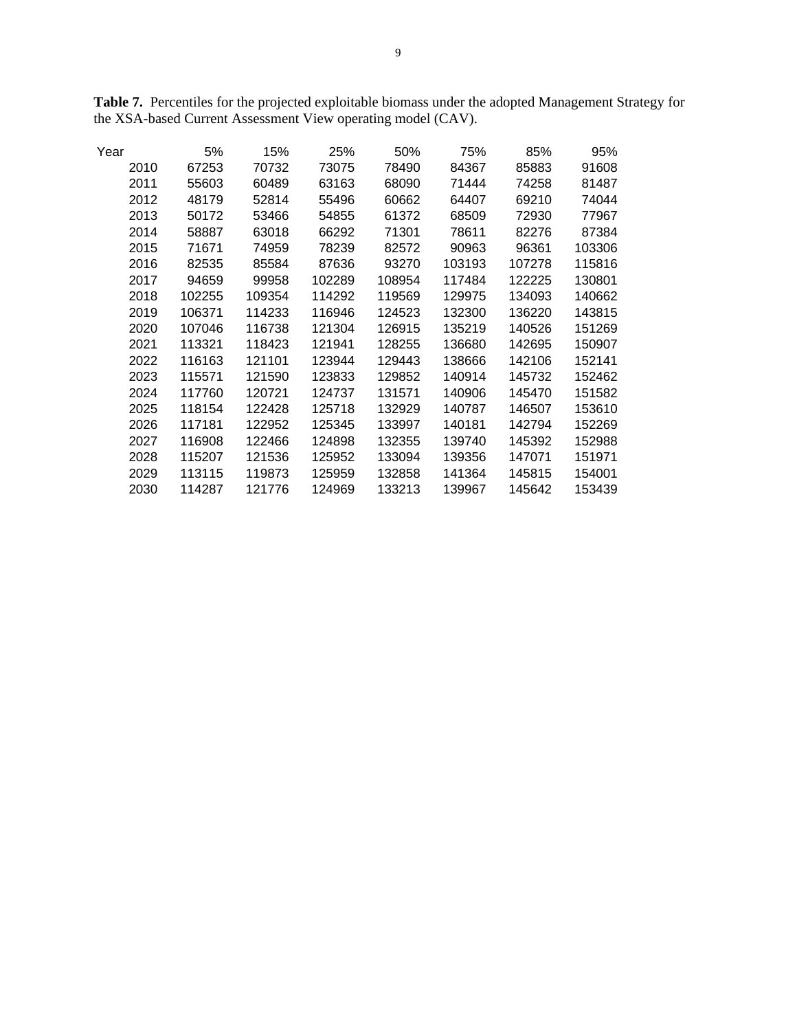| Table 7. Percentiles for the projected exploitable biomass under the adopted Management Strategy for |  |
|------------------------------------------------------------------------------------------------------|--|
| the XSA-based Current Assessment View operating model (CAV).                                         |  |

| Year | 5%     | 15%    | 25%    | 50%    | 75%    | 85%    | 95%    |
|------|--------|--------|--------|--------|--------|--------|--------|
| 2010 | 67253  | 70732  | 73075  | 78490  | 84367  | 85883  | 91608  |
| 2011 | 55603  | 60489  | 63163  | 68090  | 71444  | 74258  | 81487  |
| 2012 | 48179  | 52814  | 55496  | 60662  | 64407  | 69210  | 74044  |
| 2013 | 50172  | 53466  | 54855  | 61372  | 68509  | 72930  | 77967  |
| 2014 | 58887  | 63018  | 66292  | 71301  | 78611  | 82276  | 87384  |
| 2015 | 71671  | 74959  | 78239  | 82572  | 90963  | 96361  | 103306 |
| 2016 | 82535  | 85584  | 87636  | 93270  | 103193 | 107278 | 115816 |
| 2017 | 94659  | 99958  | 102289 | 108954 | 117484 | 122225 | 130801 |
| 2018 | 102255 | 109354 | 114292 | 119569 | 129975 | 134093 | 140662 |
| 2019 | 106371 | 114233 | 116946 | 124523 | 132300 | 136220 | 143815 |
| 2020 | 107046 | 116738 | 121304 | 126915 | 135219 | 140526 | 151269 |
| 2021 | 113321 | 118423 | 121941 | 128255 | 136680 | 142695 | 150907 |
| 2022 | 116163 | 121101 | 123944 | 129443 | 138666 | 142106 | 152141 |
| 2023 | 115571 | 121590 | 123833 | 129852 | 140914 | 145732 | 152462 |
| 2024 | 117760 | 120721 | 124737 | 131571 | 140906 | 145470 | 151582 |
| 2025 | 118154 | 122428 | 125718 | 132929 | 140787 | 146507 | 153610 |
| 2026 | 117181 | 122952 | 125345 | 133997 | 140181 | 142794 | 152269 |
| 2027 | 116908 | 122466 | 124898 | 132355 | 139740 | 145392 | 152988 |
| 2028 | 115207 | 121536 | 125952 | 133094 | 139356 | 147071 | 151971 |
| 2029 | 113115 | 119873 | 125959 | 132858 | 141364 | 145815 | 154001 |
| 2030 | 114287 | 121776 | 124969 | 133213 | 139967 | 145642 | 153439 |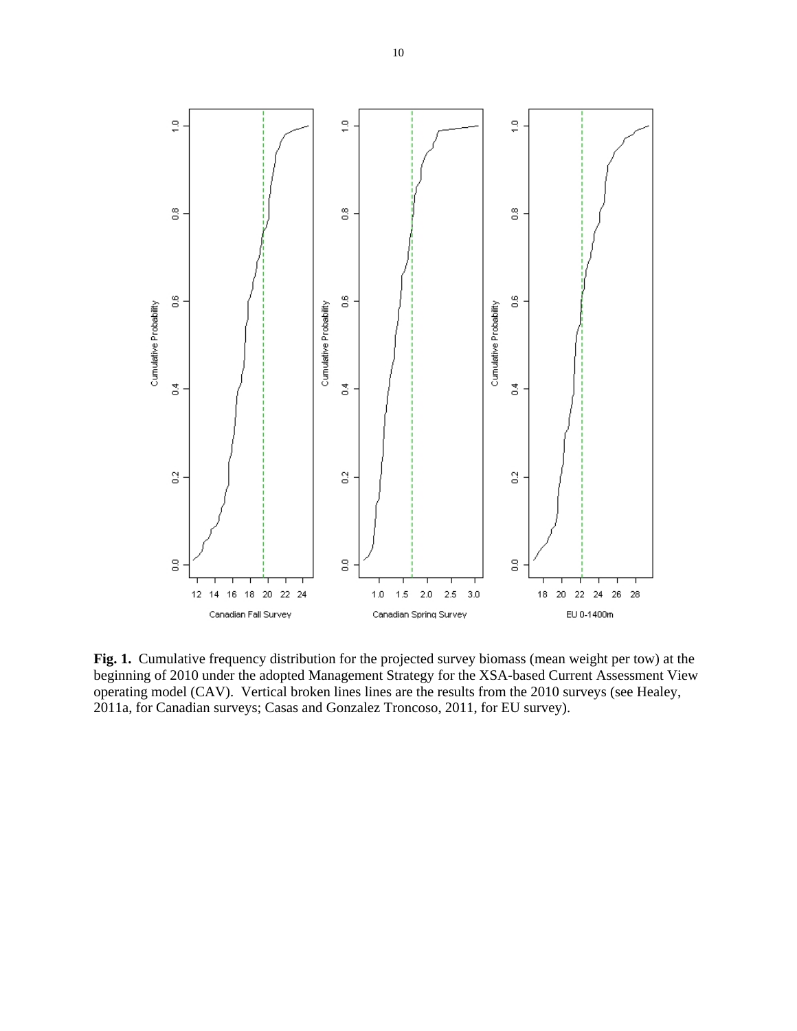

**Fig. 1.** Cumulative frequency distribution for the projected survey biomass (mean weight per tow) at the beginning of 2010 under the adopted Management Strategy for the XSA-based Current Assessment View operating model (CAV). Vertical broken lines lines are the results from the 2010 surveys (see Healey, 2011a, for Canadian surveys; Casas and Gonzalez Troncoso, 2011, for EU survey).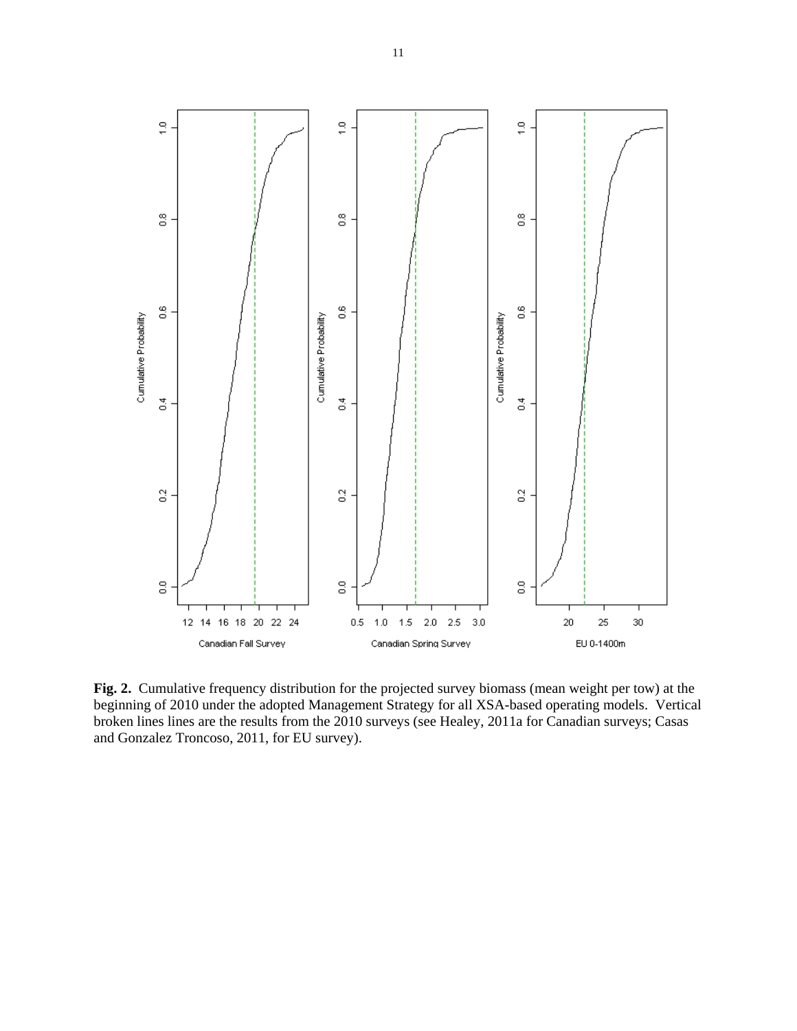

**Fig. 2.** Cumulative frequency distribution for the projected survey biomass (mean weight per tow) at the beginning of 2010 under the adopted Management Strategy for all XSA-based operating models. Vertical broken lines lines are the results from the 2010 surveys (see Healey, 2011a for Canadian surveys; Casas and Gonzalez Troncoso, 2011, for EU survey).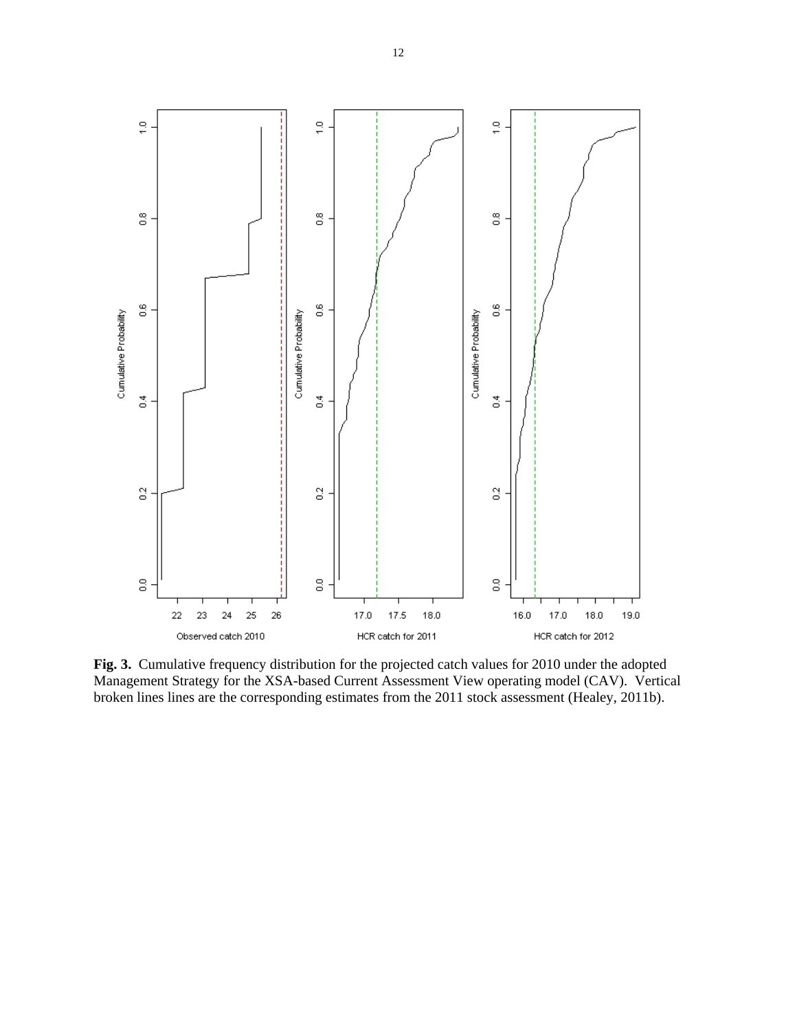

**Fig. 3.** Cumulative frequency distribution for the projected catch values for 2010 under the adopted Management Strategy for the XSA-based Current Assessment View operating model (CAV). Vertical broken lines lines are the corresponding estimates from the 2011 stock assessment (Healey, 2011b).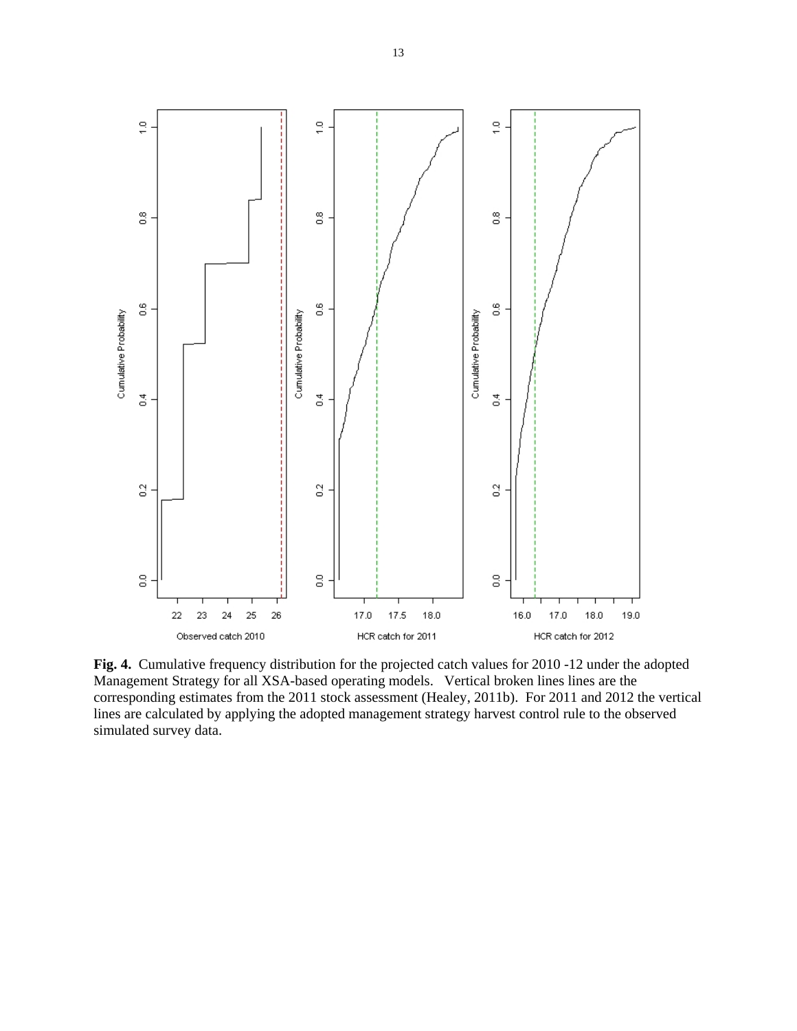

**Fig. 4.** Cumulative frequency distribution for the projected catch values for 2010 -12 under the adopted Management Strategy for all XSA-based operating models. Vertical broken lines lines are the corresponding estimates from the 2011 stock assessment (Healey, 2011b). For 2011 and 2012 the vertical lines are calculated by applying the adopted management strategy harvest control rule to the observed simulated survey data.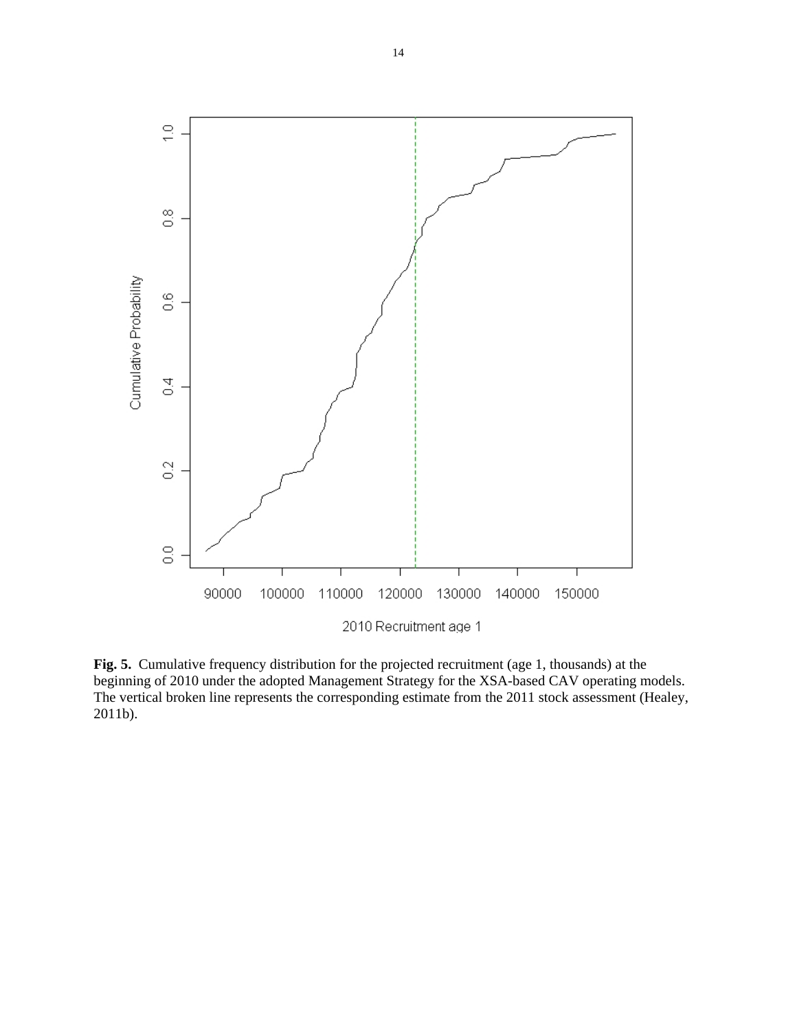

**Fig. 5.** Cumulative frequency distribution for the projected recruitment (age 1, thousands) at the beginning of 2010 under the adopted Management Strategy for the XSA-based CAV operating models. The vertical broken line represents the corresponding estimate from the 2011 stock assessment (Healey, 2011b).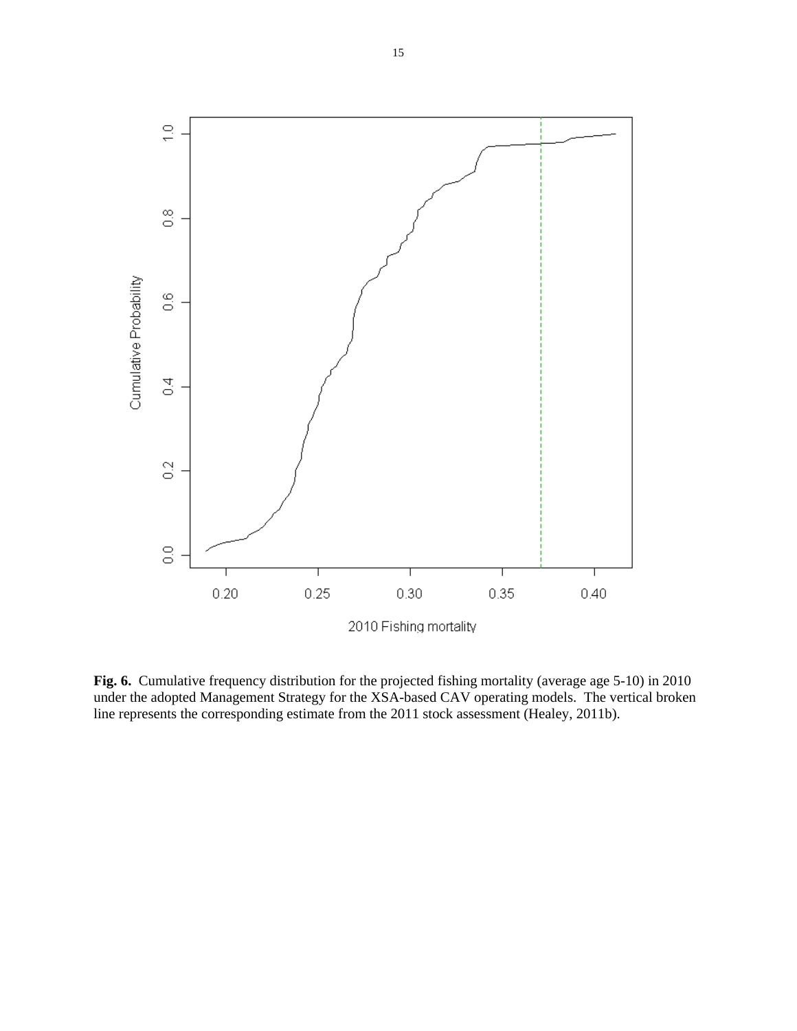

**Fig. 6.** Cumulative frequency distribution for the projected fishing mortality (average age 5-10) in 2010 under the adopted Management Strategy for the XSA-based CAV operating models. The vertical broken line represents the corresponding estimate from the 2011 stock assessment (Healey, 2011b).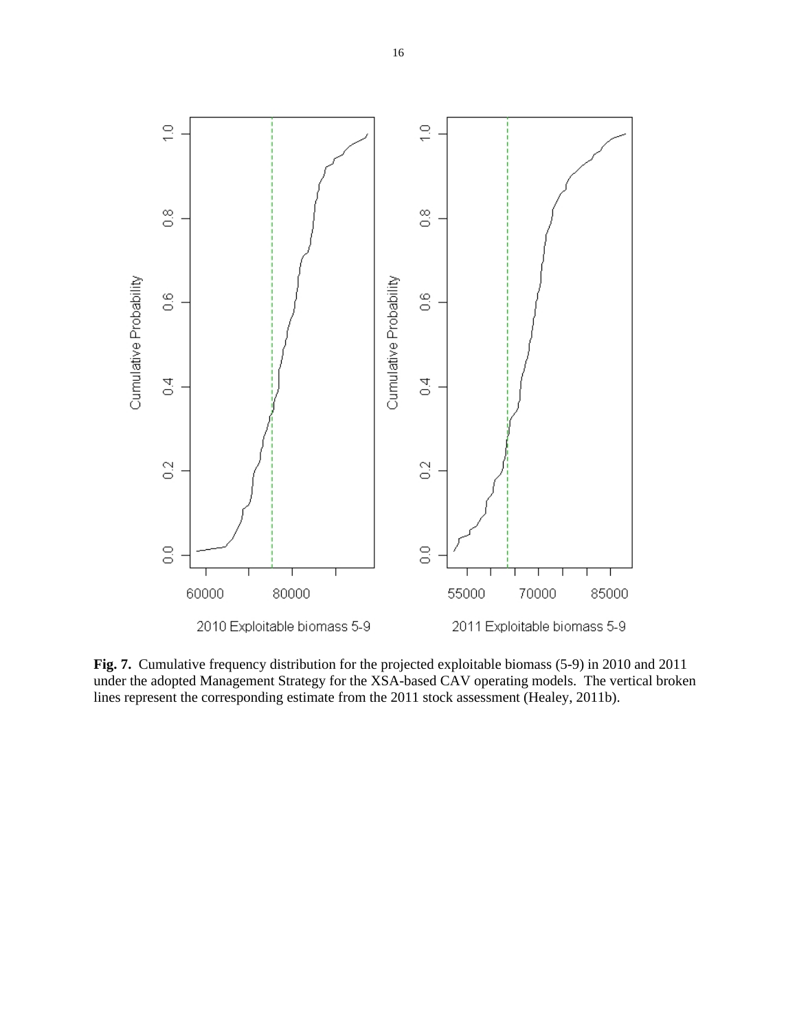

**Fig. 7.** Cumulative frequency distribution for the projected exploitable biomass (5-9) in 2010 and 2011 under the adopted Management Strategy for the XSA-based CAV operating models. The vertical broken lines represent the corresponding estimate from the 2011 stock assessment (Healey, 2011b).